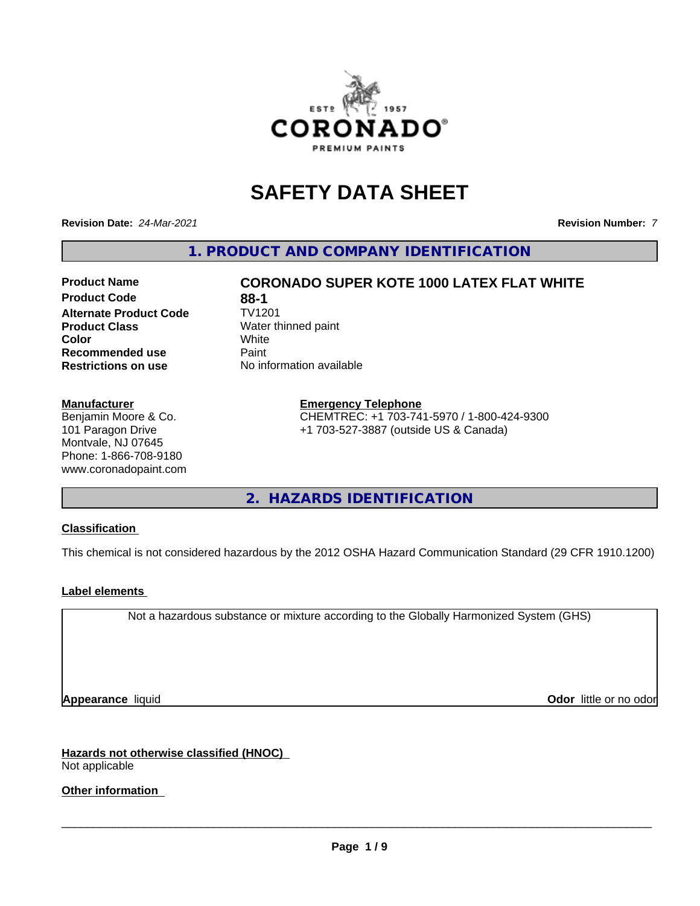

# **SAFETY DATA SHEET**

**Revision Date:** *24-Mar-2021* **Revision Number:** *7*

**1. PRODUCT AND COMPANY IDENTIFICATION**

## **Product Code 688-1**<br> **Alternate Product Code** TV1201 **Alternate Product Code Product Class** Water thinned paint<br> **Color** White **Color** White White **Recommended use** Paint **Restrictions on use** No information available

### **Manufacturer**

Benjamin Moore & Co. 101 Paragon Drive Montvale, NJ 07645 Phone: 1-866-708-9180 www.coronadopaint.com

# **Product Name CORONADO SUPER KOTE 1000 LATEX FLAT WHITE**

#### **Emergency Telephone**

CHEMTREC: +1 703-741-5970 / 1-800-424-9300 +1 703-527-3887 (outside US & Canada)

**2. HAZARDS IDENTIFICATION**

### **Classification**

This chemical is not considered hazardous by the 2012 OSHA Hazard Communication Standard (29 CFR 1910.1200)

### **Label elements**

Not a hazardous substance or mixture according to the Globally Harmonized System (GHS)

**Appearance** liquid **Contract Contract Contract Contract Contract Contract Contract Contract Contract Contract Contract Contract Contract Contract Contract Contract Contract Contract Contract Contract Contract Contract Con** 

**Hazards not otherwise classified (HNOC)** Not applicable

**Other information**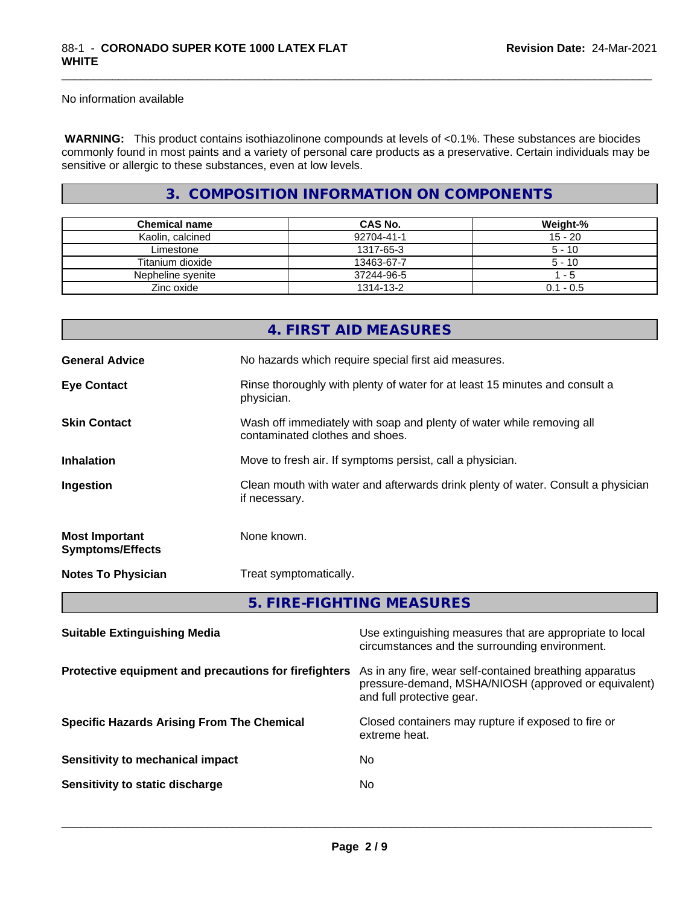No information available

 **WARNING:** This product contains isothiazolinone compounds at levels of <0.1%. These substances are biocides commonly found in most paints and a variety of personal care products as a preservative. Certain individuals may be sensitive or allergic to these substances, even at low levels.

\_\_\_\_\_\_\_\_\_\_\_\_\_\_\_\_\_\_\_\_\_\_\_\_\_\_\_\_\_\_\_\_\_\_\_\_\_\_\_\_\_\_\_\_\_\_\_\_\_\_\_\_\_\_\_\_\_\_\_\_\_\_\_\_\_\_\_\_\_\_\_\_\_\_\_\_\_\_\_\_\_\_\_\_\_\_\_\_\_\_\_\_\_

## **3. COMPOSITION INFORMATION ON COMPONENTS**

| <b>Chemical name</b> | CAS No.    | Weight-%    |
|----------------------|------------|-------------|
| Kaolin, calcined     | 92704-41-1 | $15 - 20$   |
| Limestone            | 1317-65-3  | $5 - 10$    |
| Titanium dioxide     | 13463-67-7 | $5 - 10$    |
| Nepheline svenite    | 37244-96-5 | - 5         |
| Zinc oxide           | 1314-13-2  | $0.1 - 0.5$ |

|                                                  | 4. FIRST AID MEASURES                                                                                    |
|--------------------------------------------------|----------------------------------------------------------------------------------------------------------|
| <b>General Advice</b>                            | No hazards which require special first aid measures.                                                     |
| <b>Eye Contact</b>                               | Rinse thoroughly with plenty of water for at least 15 minutes and consult a<br>physician.                |
| <b>Skin Contact</b>                              | Wash off immediately with soap and plenty of water while removing all<br>contaminated clothes and shoes. |
| <b>Inhalation</b>                                | Move to fresh air. If symptoms persist, call a physician.                                                |
| Ingestion                                        | Clean mouth with water and afterwards drink plenty of water. Consult a physician<br>if necessary.        |
| <b>Most Important</b><br><b>Symptoms/Effects</b> | None known.                                                                                              |
| <b>Notes To Physician</b>                        | Treat symptomatically.                                                                                   |
|                                                  | 5. FIRE-FIGHTING MEASURES                                                                                |
| <b>Suitable Extinguishing Media</b>              | Use extinguishing measures that are appropriate to local                                                 |

|                                                       | circumstances and the surrounding environment.                                                                                               |
|-------------------------------------------------------|----------------------------------------------------------------------------------------------------------------------------------------------|
| Protective equipment and precautions for firefighters | As in any fire, wear self-contained breathing apparatus<br>pressure-demand, MSHA/NIOSH (approved or equivalent)<br>and full protective gear. |
| <b>Specific Hazards Arising From The Chemical</b>     | Closed containers may rupture if exposed to fire or<br>extreme heat.                                                                         |
| Sensitivity to mechanical impact                      | No.                                                                                                                                          |
| Sensitivity to static discharge                       | No.                                                                                                                                          |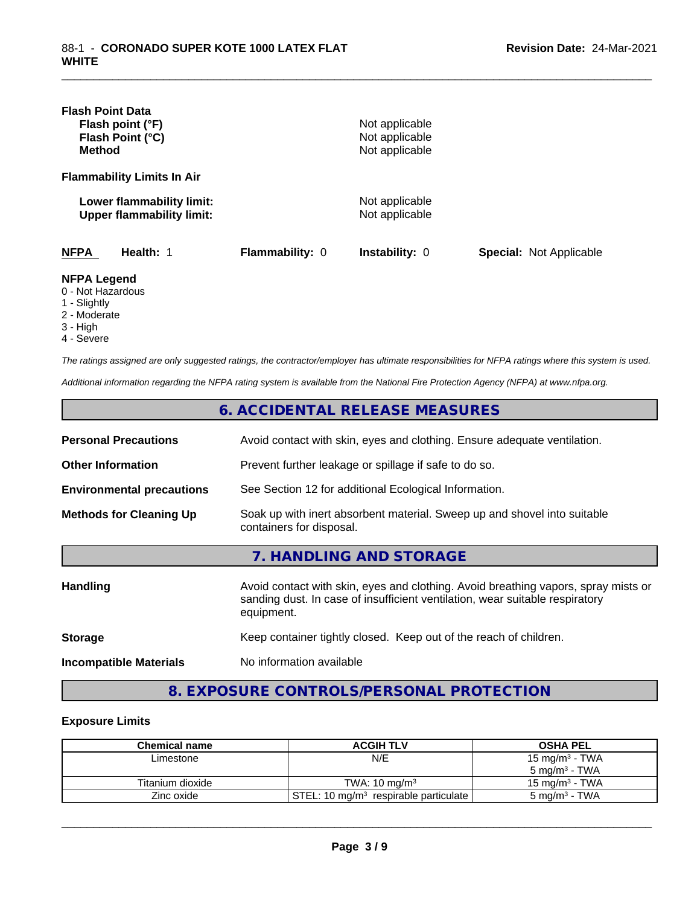| <b>Flash Point Data</b><br>Flash point (°F)<br>Flash Point (°C)<br><b>Method</b> |                 | Not applicable<br>Not applicable<br>Not applicable |                                |
|----------------------------------------------------------------------------------|-----------------|----------------------------------------------------|--------------------------------|
| <b>Flammability Limits In Air</b>                                                |                 |                                                    |                                |
| Lower flammability limit:<br><b>Upper flammability limit:</b>                    |                 | Not applicable<br>Not applicable                   |                                |
| <b>NFPA</b><br>Health: 1                                                         | Flammability: 0 | <b>Instability: 0</b>                              | <b>Special: Not Applicable</b> |
| <b>NFPA Legend</b><br>0 - Not Hazardous<br>1 - Slightly<br>2 - Moderate          |                 |                                                    |                                |

\_\_\_\_\_\_\_\_\_\_\_\_\_\_\_\_\_\_\_\_\_\_\_\_\_\_\_\_\_\_\_\_\_\_\_\_\_\_\_\_\_\_\_\_\_\_\_\_\_\_\_\_\_\_\_\_\_\_\_\_\_\_\_\_\_\_\_\_\_\_\_\_\_\_\_\_\_\_\_\_\_\_\_\_\_\_\_\_\_\_\_\_\_

- 3 High
- 4 Severe

*The ratings assigned are only suggested ratings, the contractor/employer has ultimate responsibilities for NFPA ratings where this system is used.*

*Additional information regarding the NFPA rating system is available from the National Fire Protection Agency (NFPA) at www.nfpa.org.*

|                                  | 6. ACCIDENTAL RELEASE MEASURES                                                                                                                                                   |
|----------------------------------|----------------------------------------------------------------------------------------------------------------------------------------------------------------------------------|
| <b>Personal Precautions</b>      | Avoid contact with skin, eyes and clothing. Ensure adequate ventilation.                                                                                                         |
| <b>Other Information</b>         | Prevent further leakage or spillage if safe to do so.                                                                                                                            |
| <b>Environmental precautions</b> | See Section 12 for additional Ecological Information.                                                                                                                            |
| <b>Methods for Cleaning Up</b>   | Soak up with inert absorbent material. Sweep up and shovel into suitable<br>containers for disposal.                                                                             |
|                                  | 7. HANDLING AND STORAGE                                                                                                                                                          |
| <b>Handling</b>                  | Avoid contact with skin, eyes and clothing. Avoid breathing vapors, spray mists or<br>sanding dust. In case of insufficient ventilation, wear suitable respiratory<br>equipment. |
| <b>Storage</b>                   | Keep container tightly closed. Keep out of the reach of children.                                                                                                                |
| <b>Incompatible Materials</b>    | No information available                                                                                                                                                         |

# **8. EXPOSURE CONTROLS/PERSONAL PROTECTION**

#### **Exposure Limits**

| <b>Chemical name</b> | <b>ACGIH TLV</b>                                    | <b>OSHA PEL</b>           |
|----------------------|-----------------------------------------------------|---------------------------|
| ∟imestone            | N/E                                                 | $15 \text{ mg/m}^3$ - TWA |
|                      |                                                     | $5 \text{ ma/m}^3$ - TWA  |
| Titanium dioxide     | TWA: $10 \text{ ma/m}^3$                            | 15 mg/m $3$ - TWA         |
| Zinc oxide           | STEL: 10 mg/m <sup>3</sup> respirable particulate l | $5 \text{ mg/m}^3$ - TWA  |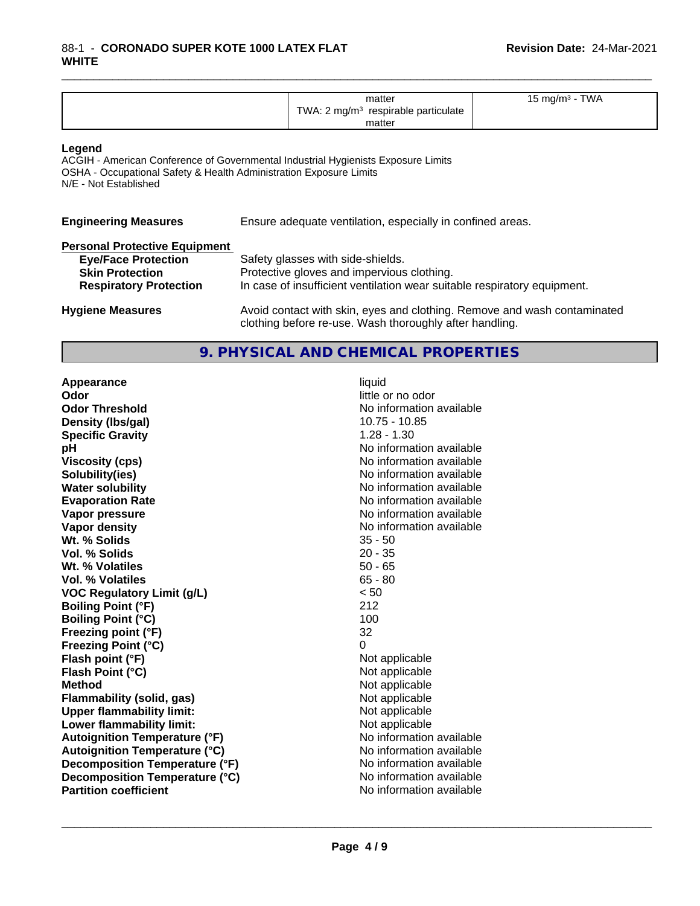| <b>TWA</b><br>matter<br>$\cdot$ m m $\sigma$<br>.<br>TWA.<br>respirable particulate<br>ma/m <sup>3</sup><br>matter |  |
|--------------------------------------------------------------------------------------------------------------------|--|
|--------------------------------------------------------------------------------------------------------------------|--|

\_\_\_\_\_\_\_\_\_\_\_\_\_\_\_\_\_\_\_\_\_\_\_\_\_\_\_\_\_\_\_\_\_\_\_\_\_\_\_\_\_\_\_\_\_\_\_\_\_\_\_\_\_\_\_\_\_\_\_\_\_\_\_\_\_\_\_\_\_\_\_\_\_\_\_\_\_\_\_\_\_\_\_\_\_\_\_\_\_\_\_\_\_

#### **Legend**

ACGIH - American Conference of Governmental Industrial Hygienists Exposure Limits OSHA - Occupational Safety & Health Administration Exposure Limits N/E - Not Established

| <b>Engineering Measures</b>          | Ensure adequate ventilation, especially in confined areas.               |
|--------------------------------------|--------------------------------------------------------------------------|
| <b>Personal Protective Equipment</b> |                                                                          |
| <b>Eye/Face Protection</b>           | Safety glasses with side-shields.                                        |
| <b>Skin Protection</b>               | Protective gloves and impervious clothing.                               |
| <b>Respiratory Protection</b>        | In case of insufficient ventilation wear suitable respiratory equipment. |

### **Hygiene Measures** Avoid contact with skin, eyes and clothing. Remove and wash contaminated clothing before re-use. Wash thoroughly after handling.

### **9. PHYSICAL AND CHEMICAL PROPERTIES**

**Appearance** liquid **Odor** little or no odor **Odor Threshold**<br> **Density (Ibs/gal)**<br> **Density (Ibs/gal)**<br> **No information available**<br>
10.75 - 10.85 **Density (lbs/gal)** 10.75 - 10.75 - 10.75 - 10.75 - 10.75 - 10.75 - 10.75 - 10.75 - 10.75 - 10.75 - 10.75 - 10.75 - 10.75 - 10.75 - 10.75 - 10.75 - 10.75 - 10.75 - 10.75 - 10.75 - 10.75 - 10.75 - 10.75 - 10.75 - 10.75 - 10 **Specific Gravity**<br>pH **Viscosity (cps)** No information available **Solubility(ies)** No information available **Water solubility** No information available **Evaporation Rate No information available No information available Vapor pressure** No information available **Vapor density No information available No information available Wt. % Solids** 35 - 50 **Vol. % Solids** 20 - 35<br> **Wt. % Volatiles** 20 - 35 **Wt. % Volatiles Vol. % Volatiles** 65 - 80 **VOC Regulatory Limit (g/L)** < 50 **Boiling Point (°F)** 212 **Boiling Point (°C)** 100<br> **Preezing point (°F)** 100<br>
132 **Freezing point (°F) Freezing Point (°C)** 0 **Flash point (°F)**<br> **Flash Point (°C)**<br> **Flash Point (°C)**<br> **Point (°C) Flash Point (°C) Method** Not applicable **Flammability (solid, gas)**<br> **Upper flammability limit:**<br>
Upper flammability limit:<br>  $\begin{array}{ccc}\n\bullet & \bullet & \bullet \\
\bullet & \bullet & \bullet\n\end{array}$ **Upper flammability limit:**<br> **Lower flammability limit:**<br>
Not applicable<br>
Not applicable **Lower flammability limit:**<br> **Autoignition Temperature (°F)** Not applicable havailable available **Autoignition Temperature (°F)**<br> **Autoignition Temperature (°C)** No information available **Autoignition Temperature (°C) Decomposition Temperature (°F)** No information available **Decomposition Temperature (°C)** No information available<br> **Partition coefficient No information available Partition coefficient** 

**No information available**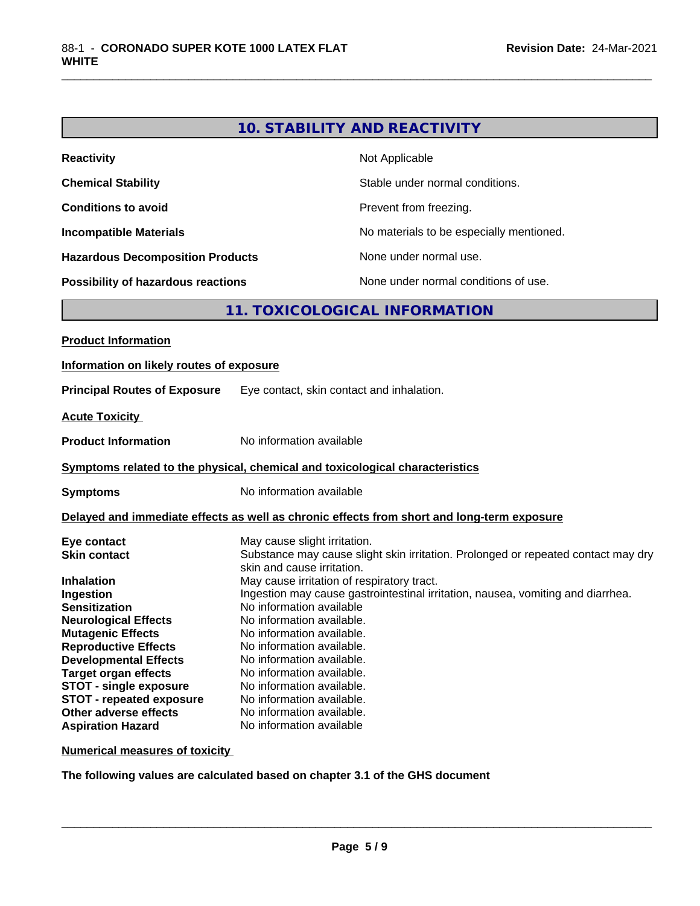# **10. STABILITY AND REACTIVITY**

\_\_\_\_\_\_\_\_\_\_\_\_\_\_\_\_\_\_\_\_\_\_\_\_\_\_\_\_\_\_\_\_\_\_\_\_\_\_\_\_\_\_\_\_\_\_\_\_\_\_\_\_\_\_\_\_\_\_\_\_\_\_\_\_\_\_\_\_\_\_\_\_\_\_\_\_\_\_\_\_\_\_\_\_\_\_\_\_\_\_\_\_\_

| <b>Reactivity</b>                         | Not Applicable                           |
|-------------------------------------------|------------------------------------------|
| <b>Chemical Stability</b>                 | Stable under normal conditions.          |
| <b>Conditions to avoid</b>                | Prevent from freezing.                   |
| <b>Incompatible Materials</b>             | No materials to be especially mentioned. |
| <b>Hazardous Decomposition Products</b>   | None under normal use.                   |
| <b>Possibility of hazardous reactions</b> | None under normal conditions of use.     |

# **11. TOXICOLOGICAL INFORMATION**

| <b>Product Information</b>                                                                                                                                                                                                                                                                                                                                                     |                                                                                                                                                                                                                                                                                                                                                                                                                                                                                                                                                      |
|--------------------------------------------------------------------------------------------------------------------------------------------------------------------------------------------------------------------------------------------------------------------------------------------------------------------------------------------------------------------------------|------------------------------------------------------------------------------------------------------------------------------------------------------------------------------------------------------------------------------------------------------------------------------------------------------------------------------------------------------------------------------------------------------------------------------------------------------------------------------------------------------------------------------------------------------|
| Information on likely routes of exposure                                                                                                                                                                                                                                                                                                                                       |                                                                                                                                                                                                                                                                                                                                                                                                                                                                                                                                                      |
| <b>Principal Routes of Exposure</b>                                                                                                                                                                                                                                                                                                                                            | Eye contact, skin contact and inhalation.                                                                                                                                                                                                                                                                                                                                                                                                                                                                                                            |
| <b>Acute Toxicity</b>                                                                                                                                                                                                                                                                                                                                                          |                                                                                                                                                                                                                                                                                                                                                                                                                                                                                                                                                      |
| <b>Product Information</b>                                                                                                                                                                                                                                                                                                                                                     | No information available                                                                                                                                                                                                                                                                                                                                                                                                                                                                                                                             |
|                                                                                                                                                                                                                                                                                                                                                                                | Symptoms related to the physical, chemical and toxicological characteristics                                                                                                                                                                                                                                                                                                                                                                                                                                                                         |
| <b>Symptoms</b>                                                                                                                                                                                                                                                                                                                                                                | No information available                                                                                                                                                                                                                                                                                                                                                                                                                                                                                                                             |
|                                                                                                                                                                                                                                                                                                                                                                                | Delayed and immediate effects as well as chronic effects from short and long-term exposure                                                                                                                                                                                                                                                                                                                                                                                                                                                           |
| Eye contact<br><b>Skin contact</b><br><b>Inhalation</b><br>Ingestion<br><b>Sensitization</b><br><b>Neurological Effects</b><br><b>Mutagenic Effects</b><br><b>Reproductive Effects</b><br><b>Developmental Effects</b><br><b>Target organ effects</b><br><b>STOT - single exposure</b><br><b>STOT - repeated exposure</b><br>Other adverse effects<br><b>Aspiration Hazard</b> | May cause slight irritation.<br>Substance may cause slight skin irritation. Prolonged or repeated contact may dry<br>skin and cause irritation.<br>May cause irritation of respiratory tract.<br>Ingestion may cause gastrointestinal irritation, nausea, vomiting and diarrhea.<br>No information available<br>No information available.<br>No information available.<br>No information available.<br>No information available.<br>No information available.<br>No information available.<br>No information available.<br>No information available. |

**Numerical measures of toxicity**

**The following values are calculated based on chapter 3.1 of the GHS document**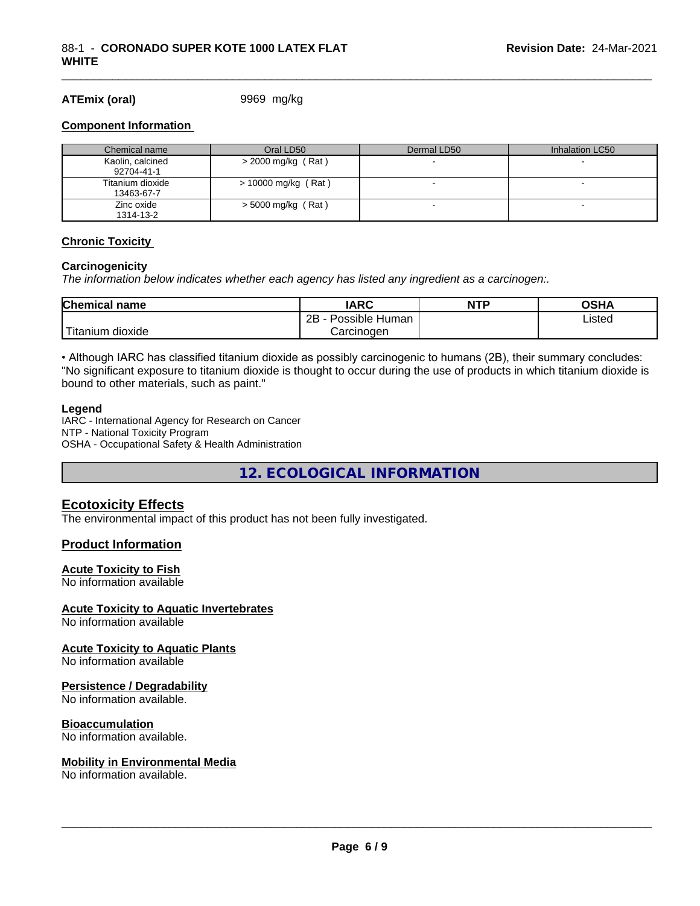#### **ATEmix (oral)** 9969 mg/kg

#### **Component Information**

| Chemical name                  | Oral LD50             | Dermal LD50 | Inhalation LC50 |
|--------------------------------|-----------------------|-------------|-----------------|
| Kaolin, calcined<br>92704-41-1 | $>$ 2000 mg/kg (Rat)  |             |                 |
| Titanium dioxide<br>13463-67-7 | $> 10000$ mg/kg (Rat) |             |                 |
| Zinc oxide<br>1314-13-2        | $>$ 5000 mg/kg (Rat)  |             |                 |

\_\_\_\_\_\_\_\_\_\_\_\_\_\_\_\_\_\_\_\_\_\_\_\_\_\_\_\_\_\_\_\_\_\_\_\_\_\_\_\_\_\_\_\_\_\_\_\_\_\_\_\_\_\_\_\_\_\_\_\_\_\_\_\_\_\_\_\_\_\_\_\_\_\_\_\_\_\_\_\_\_\_\_\_\_\_\_\_\_\_\_\_\_

#### **Chronic Toxicity**

#### **Carcinogenicity**

*The information below indicateswhether each agency has listed any ingredient as a carcinogen:.*

| <b>Chemical</b><br>name          | <b>IARC</b>                  | NTP | ດເ⊔∧<br>JJNP |
|----------------------------------|------------------------------|-----|--------------|
|                                  | .<br>2B<br>Human<br>Possible |     | ∟isted       |
| $- - -$<br>. dioxide<br>ïtanium. | Carcinogen                   |     |              |

• Although IARC has classified titanium dioxide as possibly carcinogenic to humans (2B), their summary concludes: "No significant exposure to titanium dioxide is thought to occur during the use of products in which titanium dioxide is bound to other materials, such as paint."

#### **Legend**

IARC - International Agency for Research on Cancer NTP - National Toxicity Program OSHA - Occupational Safety & Health Administration

**12. ECOLOGICAL INFORMATION**

### **Ecotoxicity Effects**

The environmental impact of this product has not been fully investigated.

#### **Product Information**

#### **Acute Toxicity to Fish**

No information available

#### **Acute Toxicity to Aquatic Invertebrates**

No information available

#### **Acute Toxicity to Aquatic Plants**

No information available

#### **Persistence / Degradability**

No information available.

#### **Bioaccumulation**

No information available.

#### **Mobility in Environmental Media**

No information available.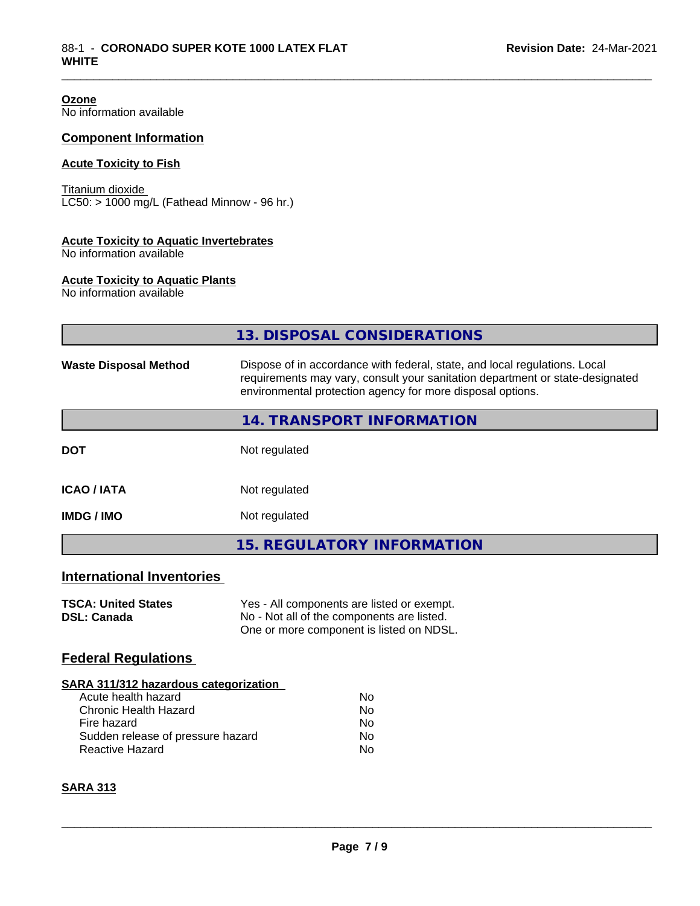**Ozone** No information available

### **Component Information**

#### **Acute Toxicity to Fish**

Titanium dioxide  $\overline{\text{LC50:}}$  > 1000 mg/L (Fathead Minnow - 96 hr.)

#### **Acute Toxicity to Aquatic Invertebrates**

No information available

#### **Acute Toxicity to Aquatic Plants**

No information available

|                                                  | 13. DISPOSAL CONSIDERATIONS                                                                                                                                                                                               |
|--------------------------------------------------|---------------------------------------------------------------------------------------------------------------------------------------------------------------------------------------------------------------------------|
| <b>Waste Disposal Method</b>                     | Dispose of in accordance with federal, state, and local regulations. Local<br>requirements may vary, consult your sanitation department or state-designated<br>environmental protection agency for more disposal options. |
|                                                  | <b>14. TRANSPORT INFORMATION</b>                                                                                                                                                                                          |
| <b>DOT</b>                                       | Not regulated                                                                                                                                                                                                             |
| <b>ICAO/IATA</b>                                 | Not regulated                                                                                                                                                                                                             |
| <b>IMDG/IMO</b>                                  | Not regulated                                                                                                                                                                                                             |
|                                                  | <b>15. REGULATORY INFORMATION</b>                                                                                                                                                                                         |
| <b>International Inventories</b>                 |                                                                                                                                                                                                                           |
| <b>TSCA: United States</b><br><b>DSL: Canada</b> | Yes - All components are listed or exempt.<br>No - Not all of the components are listed.<br>One or more component is listed on NDSL.                                                                                      |
| <b>Federal Regulations</b>                       |                                                                                                                                                                                                                           |
| SARA 311/312 hazardous categorization            |                                                                                                                                                                                                                           |

\_\_\_\_\_\_\_\_\_\_\_\_\_\_\_\_\_\_\_\_\_\_\_\_\_\_\_\_\_\_\_\_\_\_\_\_\_\_\_\_\_\_\_\_\_\_\_\_\_\_\_\_\_\_\_\_\_\_\_\_\_\_\_\_\_\_\_\_\_\_\_\_\_\_\_\_\_\_\_\_\_\_\_\_\_\_\_\_\_\_\_\_\_

| ANA 91 179 IZ HUZUI UOUS CUICYON ZUNON |    |  |  |  |
|----------------------------------------|----|--|--|--|
| Acute health hazard                    | Nο |  |  |  |
| Chronic Health Hazard                  | Nο |  |  |  |
| Fire hazard                            | Nο |  |  |  |
| Sudden release of pressure hazard      | N٥ |  |  |  |
| Reactive Hazard                        | N٥ |  |  |  |
|                                        |    |  |  |  |

### **SARA 313**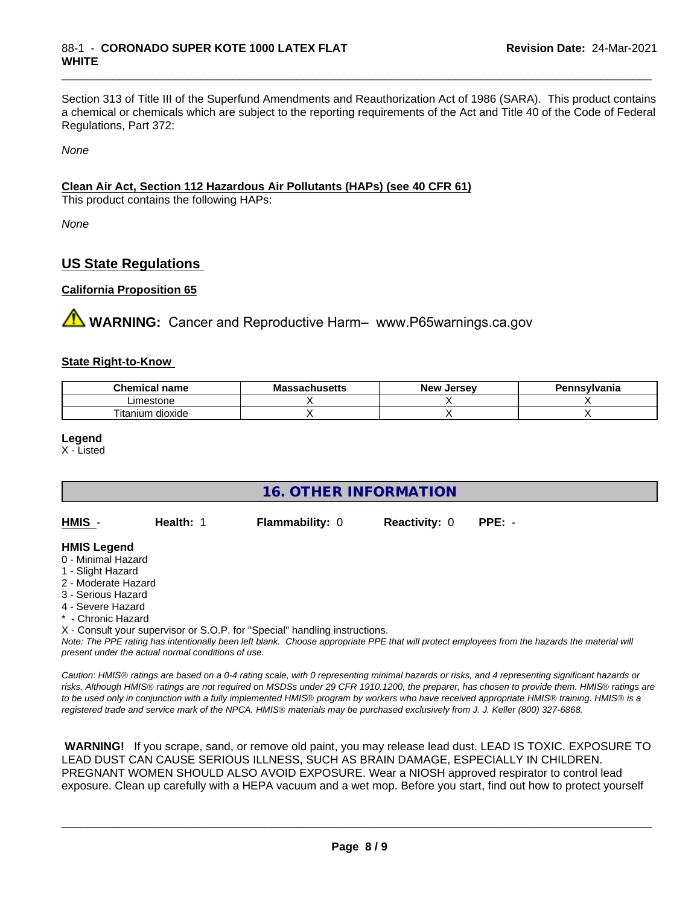Section 313 of Title III of the Superfund Amendments and Reauthorization Act of 1986 (SARA). This product contains a chemical or chemicals which are subject to the reporting requirements of the Act and Title 40 of the Code of Federal Regulations, Part 372:

\_\_\_\_\_\_\_\_\_\_\_\_\_\_\_\_\_\_\_\_\_\_\_\_\_\_\_\_\_\_\_\_\_\_\_\_\_\_\_\_\_\_\_\_\_\_\_\_\_\_\_\_\_\_\_\_\_\_\_\_\_\_\_\_\_\_\_\_\_\_\_\_\_\_\_\_\_\_\_\_\_\_\_\_\_\_\_\_\_\_\_\_\_

*None*

#### **Clean Air Act,Section 112 Hazardous Air Pollutants (HAPs) (see 40 CFR 61)**

This product contains the following HAPs:

*None*

### **US State Regulations**

#### **California Proposition 65**

**AVIMARNING:** Cancer and Reproductive Harm– www.P65warnings.ca.gov

#### **State Right-to-Know**

| emica.<br>name<br>~ ⊔ | - -<br>wю<br>aunuscus | Jersev<br><b>Nev</b> | svlvania |
|-----------------------|-----------------------|----------------------|----------|
| Limestone             |                       |                      |          |
| dioxide<br>l itanium  |                       |                      |          |

**Legend**

X - Listed

| <b>16. OTHER INFORMATION</b> |                                                    |                                                                            |                      |                                                                                                                                                 |  |  |
|------------------------------|----------------------------------------------------|----------------------------------------------------------------------------|----------------------|-------------------------------------------------------------------------------------------------------------------------------------------------|--|--|
| HMIS -                       | Health: 1                                          | <b>Flammability: 0</b>                                                     | <b>Reactivity: 0</b> | $PPE: -$                                                                                                                                        |  |  |
| <b>HMIS Legend</b>           |                                                    |                                                                            |                      |                                                                                                                                                 |  |  |
| 0 - Minimal Hazard           |                                                    |                                                                            |                      |                                                                                                                                                 |  |  |
| 1 - Slight Hazard            |                                                    |                                                                            |                      |                                                                                                                                                 |  |  |
| 2 - Moderate Hazard          |                                                    |                                                                            |                      |                                                                                                                                                 |  |  |
| 3 - Serious Hazard           |                                                    |                                                                            |                      |                                                                                                                                                 |  |  |
| 4 - Severe Hazard            |                                                    |                                                                            |                      |                                                                                                                                                 |  |  |
| * - Chronic Hazard           |                                                    |                                                                            |                      |                                                                                                                                                 |  |  |
|                              |                                                    | X - Consult your supervisor or S.O.P. for "Special" handling instructions. |                      |                                                                                                                                                 |  |  |
|                              | present under the actual normal conditions of use. |                                                                            |                      | Note: The PPE rating has intentionally been left blank. Choose appropriate PPE that will protect employees from the hazards the material will   |  |  |
|                              |                                                    |                                                                            |                      | Caution: HMIS® ratings are based on a 0-4 rating scale, with 0 representing minimal hazards or risks, and 4 representing significant hazards or |  |  |

*Caution: HMISÒ ratings are based on a 0-4 rating scale, with 0 representing minimal hazards or risks, and 4 representing significant hazards or risks. Although HMISÒ ratings are not required on MSDSs under 29 CFR 1910.1200, the preparer, has chosen to provide them. HMISÒ ratings are to be used only in conjunction with a fully implemented HMISÒ program by workers who have received appropriate HMISÒ training. HMISÒ is a registered trade and service mark of the NPCA. HMISÒ materials may be purchased exclusively from J. J. Keller (800) 327-6868.*

 **WARNING!** If you scrape, sand, or remove old paint, you may release lead dust. LEAD IS TOXIC. EXPOSURE TO LEAD DUST CAN CAUSE SERIOUS ILLNESS, SUCH AS BRAIN DAMAGE, ESPECIALLY IN CHILDREN. PREGNANT WOMEN SHOULD ALSO AVOID EXPOSURE.Wear a NIOSH approved respirator to control lead exposure. Clean up carefully with a HEPA vacuum and a wet mop. Before you start, find out how to protect yourself